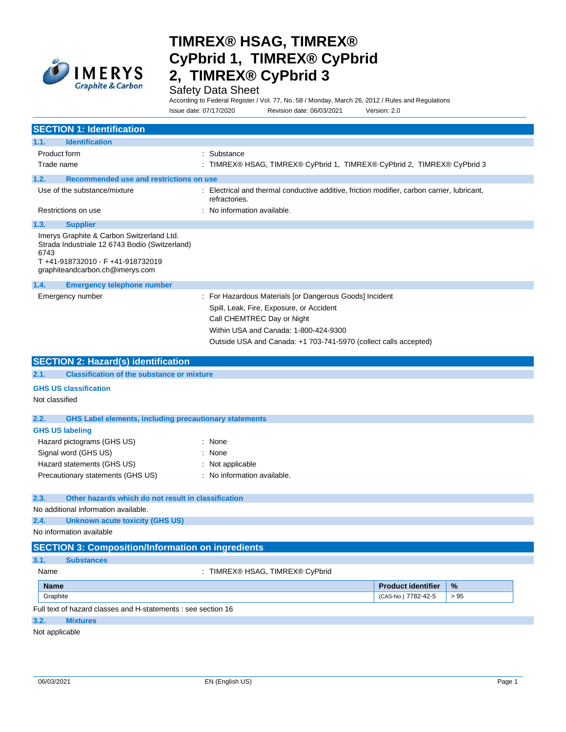

### Safety Data Sheet

According to Federal Register / Vol. 77, No. 58 / Monday, March 26, 2012 / Rules and Regulations

|                                                                                                                                                                           | Issue date: 07/17/2020                                        | Revision date: 06/03/2021                                                                                                                                                                                                                      | Version: 2.0                                                                              |      |
|---------------------------------------------------------------------------------------------------------------------------------------------------------------------------|---------------------------------------------------------------|------------------------------------------------------------------------------------------------------------------------------------------------------------------------------------------------------------------------------------------------|-------------------------------------------------------------------------------------------|------|
| <b>SECTION 1: Identification</b>                                                                                                                                          |                                                               |                                                                                                                                                                                                                                                |                                                                                           |      |
| <b>Identification</b><br>1.1.                                                                                                                                             |                                                               |                                                                                                                                                                                                                                                |                                                                                           |      |
| Product form                                                                                                                                                              | : Substance                                                   |                                                                                                                                                                                                                                                |                                                                                           |      |
| Trade name                                                                                                                                                                |                                                               |                                                                                                                                                                                                                                                | : TIMREX® HSAG, TIMREX® CyPbrid 1, TIMREX® CyPbrid 2, TIMREX® CyPbrid 3                   |      |
|                                                                                                                                                                           |                                                               |                                                                                                                                                                                                                                                |                                                                                           |      |
| 1.2.<br><b>Recommended use and restrictions on use</b><br>Use of the substance/mixture                                                                                    |                                                               |                                                                                                                                                                                                                                                | Electrical and thermal conductive additive, friction modifier, carbon carrier, lubricant, |      |
|                                                                                                                                                                           | refractories.                                                 |                                                                                                                                                                                                                                                |                                                                                           |      |
| Restrictions on use                                                                                                                                                       | No information available.                                     |                                                                                                                                                                                                                                                |                                                                                           |      |
| 1.3.<br><b>Supplier</b>                                                                                                                                                   |                                                               |                                                                                                                                                                                                                                                |                                                                                           |      |
| Imerys Graphite & Carbon Switzerland Ltd.<br>Strada Industriale 12 6743 Bodio (Switzerland)<br>6743<br>T+41-918732010 - F+41-918732019<br>graphiteandcarbon.ch@imerys.com |                                                               |                                                                                                                                                                                                                                                |                                                                                           |      |
| 1.4.<br><b>Emergency telephone number</b>                                                                                                                                 |                                                               |                                                                                                                                                                                                                                                |                                                                                           |      |
| Emergency number                                                                                                                                                          |                                                               | : For Hazardous Materials [or Dangerous Goods] Incident<br>Spill, Leak, Fire, Exposure, or Accident<br>Call CHEMTREC Day or Night<br>Within USA and Canada: 1-800-424-9300<br>Outside USA and Canada: +1 703-741-5970 (collect calls accepted) |                                                                                           |      |
| <b>SECTION 2: Hazard(s) identification</b>                                                                                                                                |                                                               |                                                                                                                                                                                                                                                |                                                                                           |      |
| <b>Classification of the substance or mixture</b><br>2.1.                                                                                                                 |                                                               |                                                                                                                                                                                                                                                |                                                                                           |      |
| <b>GHS US classification</b><br>Not classified                                                                                                                            |                                                               |                                                                                                                                                                                                                                                |                                                                                           |      |
| 2.2.                                                                                                                                                                      | <b>GHS Label elements, including precautionary statements</b> |                                                                                                                                                                                                                                                |                                                                                           |      |
| <b>GHS US labeling</b>                                                                                                                                                    |                                                               |                                                                                                                                                                                                                                                |                                                                                           |      |
| Hazard pictograms (GHS US)                                                                                                                                                | : None                                                        |                                                                                                                                                                                                                                                |                                                                                           |      |
| Signal word (GHS US)                                                                                                                                                      | : None                                                        |                                                                                                                                                                                                                                                |                                                                                           |      |
| Hazard statements (GHS US)                                                                                                                                                | Not applicable                                                |                                                                                                                                                                                                                                                |                                                                                           |      |
| Precautionary statements (GHS US)                                                                                                                                         | : No information available.                                   |                                                                                                                                                                                                                                                |                                                                                           |      |
|                                                                                                                                                                           |                                                               |                                                                                                                                                                                                                                                |                                                                                           |      |
| Other hazards which do not result in classification<br>2.3.                                                                                                               |                                                               |                                                                                                                                                                                                                                                |                                                                                           |      |
| No additional information available.                                                                                                                                      |                                                               |                                                                                                                                                                                                                                                |                                                                                           |      |
| <b>Unknown acute toxicity (GHS US)</b>                                                                                                                                    |                                                               |                                                                                                                                                                                                                                                |                                                                                           |      |
| No information available                                                                                                                                                  |                                                               |                                                                                                                                                                                                                                                |                                                                                           |      |
| <b>SECTION 3: Composition/Information on ingredients</b>                                                                                                                  |                                                               |                                                                                                                                                                                                                                                |                                                                                           |      |
| 3.1.<br><b>Substances</b>                                                                                                                                                 |                                                               |                                                                                                                                                                                                                                                |                                                                                           |      |
| Name                                                                                                                                                                      |                                                               | : TIMREX® HSAG, TIMREX® CyPbrid                                                                                                                                                                                                                |                                                                                           |      |
| <b>Name</b>                                                                                                                                                               |                                                               |                                                                                                                                                                                                                                                | <b>Product identifier</b>                                                                 | $\%$ |
| Graphite                                                                                                                                                                  |                                                               |                                                                                                                                                                                                                                                | (CAS-No.) 7782-42-5                                                                       | > 95 |
| Full text of hazard classes and H-statements : see section 16                                                                                                             |                                                               |                                                                                                                                                                                                                                                |                                                                                           |      |
| 3.2.<br><b>Mixtures</b>                                                                                                                                                   |                                                               |                                                                                                                                                                                                                                                |                                                                                           |      |

#### Not applicable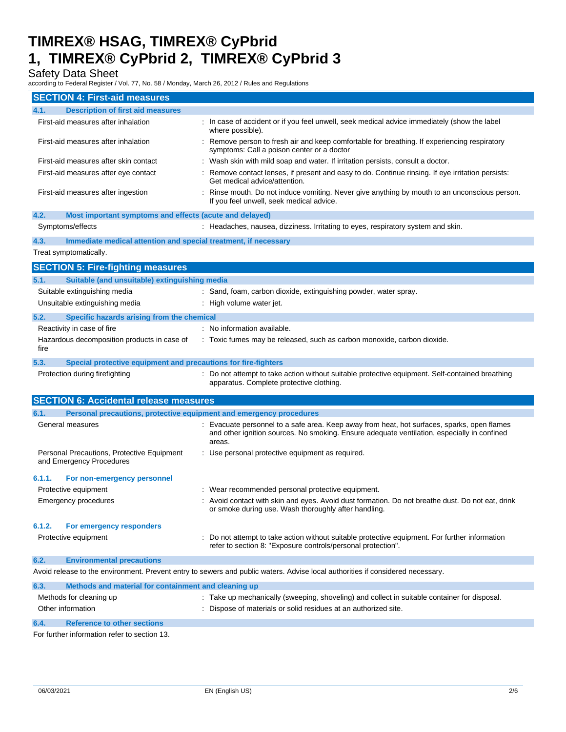### Safety Data Sheet

according to Federal Register / Vol. 77, No. 58 / Monday, March 26, 2012 / Rules and Regulations

| <b>SECTION 4: First-aid measures</b>                                        |                                                                                                                                                                                                      |  |
|-----------------------------------------------------------------------------|------------------------------------------------------------------------------------------------------------------------------------------------------------------------------------------------------|--|
| 4.1.<br><b>Description of first aid measures</b>                            |                                                                                                                                                                                                      |  |
| First-aid measures after inhalation                                         | : In case of accident or if you feel unwell, seek medical advice immediately (show the label<br>where possible).                                                                                     |  |
| First-aid measures after inhalation                                         | : Remove person to fresh air and keep comfortable for breathing. If experiencing respiratory<br>symptoms: Call a poison center or a doctor                                                           |  |
| First-aid measures after skin contact                                       | : Wash skin with mild soap and water. If irritation persists, consult a doctor.                                                                                                                      |  |
| First-aid measures after eye contact                                        | : Remove contact lenses, if present and easy to do. Continue rinsing. If eye irritation persists:<br>Get medical advice/attention.                                                                   |  |
| First-aid measures after ingestion                                          | : Rinse mouth. Do not induce vomiting. Never give anything by mouth to an unconscious person.<br>If you feel unwell, seek medical advice.                                                            |  |
| 4.2.<br>Most important symptoms and effects (acute and delayed)             |                                                                                                                                                                                                      |  |
| Symptoms/effects                                                            | : Headaches, nausea, dizziness. Irritating to eyes, respiratory system and skin.                                                                                                                     |  |
| 4.3.<br>Immediate medical attention and special treatment, if necessary     |                                                                                                                                                                                                      |  |
| Treat symptomatically.                                                      |                                                                                                                                                                                                      |  |
| <b>SECTION 5: Fire-fighting measures</b>                                    |                                                                                                                                                                                                      |  |
| 5.1.<br>Suitable (and unsuitable) extinguishing media                       |                                                                                                                                                                                                      |  |
| Suitable extinguishing media                                                | : Sand, foam, carbon dioxide, extinguishing powder, water spray.                                                                                                                                     |  |
| Unsuitable extinguishing media                                              | : High volume water jet.                                                                                                                                                                             |  |
| 5.2.<br>Specific hazards arising from the chemical                          |                                                                                                                                                                                                      |  |
| Reactivity in case of fire                                                  | : No information available.                                                                                                                                                                          |  |
| Hazardous decomposition products in case of                                 | : Toxic fumes may be released, such as carbon monoxide, carbon dioxide.                                                                                                                              |  |
| fire                                                                        |                                                                                                                                                                                                      |  |
| 5.3.<br>Special protective equipment and precautions for fire-fighters      |                                                                                                                                                                                                      |  |
| Protection during firefighting                                              | : Do not attempt to take action without suitable protective equipment. Self-contained breathing<br>apparatus. Complete protective clothing.                                                          |  |
| <b>SECTION 6: Accidental release measures</b>                               |                                                                                                                                                                                                      |  |
| 6.1.<br>Personal precautions, protective equipment and emergency procedures |                                                                                                                                                                                                      |  |
| General measures                                                            | : Evacuate personnel to a safe area. Keep away from heat, hot surfaces, sparks, open flames<br>and other ignition sources. No smoking. Ensure adequate ventilation, especially in confined<br>areas. |  |
| Personal Precautions, Protective Equipment<br>and Emergency Procedures      | : Use personal protective equipment as required.                                                                                                                                                     |  |
| 6.1.1.<br>For non-emergency personnel                                       |                                                                                                                                                                                                      |  |
| Protective equipment                                                        | : Wear recommended personal protective equipment.                                                                                                                                                    |  |
| <b>Emergency procedures</b>                                                 | : Avoid contact with skin and eyes. Avoid dust formation. Do not breathe dust. Do not eat, drink<br>or smoke during use. Wash thoroughly after handling.                                             |  |
| 6.1.2.<br>For emergency responders                                          |                                                                                                                                                                                                      |  |
| Protective equipment                                                        | : Do not attempt to take action without suitable protective equipment. For further information                                                                                                       |  |
|                                                                             | refer to section 8: "Exposure controls/personal protection".                                                                                                                                         |  |
| 6.2.<br><b>Environmental precautions</b>                                    |                                                                                                                                                                                                      |  |
|                                                                             | Avoid release to the environment. Prevent entry to sewers and public waters. Advise local authorities if considered necessary.                                                                       |  |
| 6.3.<br>Methods and material for containment and cleaning up                |                                                                                                                                                                                                      |  |
| Methods for cleaning up                                                     | : Take up mechanically (sweeping, shoveling) and collect in suitable container for disposal.                                                                                                         |  |
| Other information                                                           | : Dispose of materials or solid residues at an authorized site.                                                                                                                                      |  |
| <b>Reference to other sections</b><br>6.4.                                  |                                                                                                                                                                                                      |  |

For further information refer to section 13.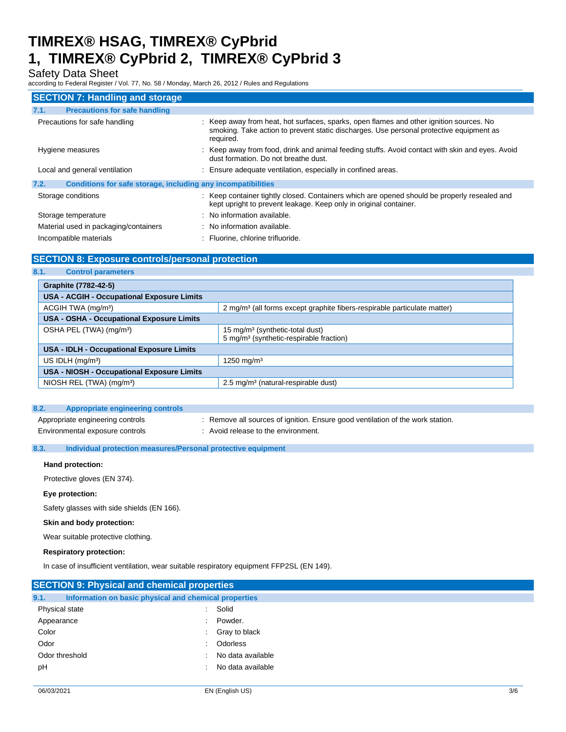### Safety Data Sheet

according to Federal Register / Vol. 77, No. 58 / Monday, March 26, 2012 / Rules and Regulations

| <b>SECTION 7: Handling and storage</b>                               |                                                                                                                                                                                                 |
|----------------------------------------------------------------------|-------------------------------------------------------------------------------------------------------------------------------------------------------------------------------------------------|
| <b>Precautions for safe handling</b><br>7.1.                         |                                                                                                                                                                                                 |
| Precautions for safe handling                                        | : Keep away from heat, hot surfaces, sparks, open flames and other ignition sources. No<br>smoking. Take action to prevent static discharges. Use personal protective equipment as<br>required. |
| Hygiene measures                                                     | : Keep away from food, drink and animal feeding stuffs. Avoid contact with skin and eyes. Avoid<br>dust formation. Do not breathe dust.                                                         |
| Local and general ventilation                                        | : Ensure adequate ventilation, especially in confined areas.                                                                                                                                    |
| Conditions for safe storage, including any incompatibilities<br>7.2. |                                                                                                                                                                                                 |
| Storage conditions                                                   | : Keep container tightly closed. Containers which are opened should be properly resealed and<br>kept upright to prevent leakage. Keep only in original container.                               |
| Storage temperature                                                  | : No information available.                                                                                                                                                                     |
| Material used in packaging/containers                                | : No information available.                                                                                                                                                                     |
| Incompatible materials                                               | : Fluorine, chlorine trifluoride.                                                                                                                                                               |

#### **SECTION 8: Exposure controls/personal protection**

**8.1. Control parameters** 

| Graphite (7782-42-5)                       |                                                                                      |  |
|--------------------------------------------|--------------------------------------------------------------------------------------|--|
| USA - ACGIH - Occupational Exposure Limits |                                                                                      |  |
| ACGIH TWA (mg/m <sup>3</sup> )             | 2 mg/m <sup>3</sup> (all forms except graphite fibers-respirable particulate matter) |  |
| USA - OSHA - Occupational Exposure Limits  |                                                                                      |  |
| OSHA PEL (TWA) (mg/m <sup>3</sup> )        | 15 mg/m <sup>3</sup> (synthetic-total dust)                                          |  |
|                                            | 5 mg/m <sup>3</sup> (synthetic-respirable fraction)                                  |  |
| USA - IDLH - Occupational Exposure Limits  |                                                                                      |  |
| US IDLH $(mg/m3)$                          | 1250 mg/m <sup>3</sup>                                                               |  |
| USA - NIOSH - Occupational Exposure Limits |                                                                                      |  |
| NIOSH REL (TWA) (mg/m <sup>3</sup> )       | 2.5 mg/m <sup>3</sup> (natural-respirable dust)                                      |  |

| 8.2.<br>Appropriate engineering controls |                                                                                |
|------------------------------------------|--------------------------------------------------------------------------------|
| Appropriate engineering controls         | : Remove all sources of ignition. Ensure good ventilation of the work station. |
| Environmental exposure controls          | : Avoid release to the environment.                                            |

#### **8.3. Individual protection measures/Personal protective equipment**

#### **Hand protection:**

Protective gloves (EN 374).

#### **Eye protection:**

Safety glasses with side shields (EN 166).

#### **Skin and body protection:**

Wear suitable protective clothing.

#### **Respiratory protection:**

In case of insufficient ventilation, wear suitable respiratory equipment FFP2SL (EN 149).

| <b>SECTION 9: Physical and chemical properties</b> |                                                       |     |  |
|----------------------------------------------------|-------------------------------------------------------|-----|--|
| 9.1.                                               | Information on basic physical and chemical properties |     |  |
| Physical state                                     | Solid<br>÷.                                           |     |  |
| Appearance                                         | Powder.                                               |     |  |
| Color                                              | Gray to black<br>t.                                   |     |  |
| Odor                                               | Odorless                                              |     |  |
| Odor threshold                                     | No data available                                     |     |  |
| рH                                                 | No data available                                     |     |  |
|                                                    |                                                       |     |  |
| 06/03/2021                                         | EN (English US)                                       | 3/6 |  |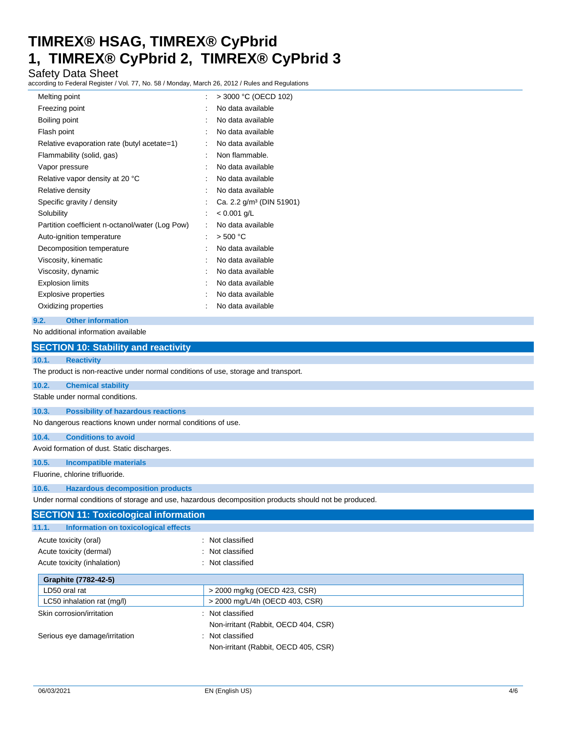### Safety Data Sheet

according to Federal Register / Vol. 77, No. 58 / Monday, March 26, 2012 / Rules and Regulations

| Melting point                                   | $>$ 3000 °C (OECD 102)               |
|-------------------------------------------------|--------------------------------------|
| Freezing point                                  | No data available                    |
| Boiling point                                   | No data available                    |
| Flash point                                     | No data available                    |
| Relative evaporation rate (butyl acetate=1)     | No data available                    |
| Flammability (solid, gas)                       | Non flammable.                       |
| Vapor pressure                                  | No data available                    |
| Relative vapor density at 20 °C                 | No data available                    |
| Relative density                                | No data available                    |
| Specific gravity / density                      | Ca. 2.2 g/m <sup>3</sup> (DIN 51901) |
| Solubility                                      | $< 0.001$ g/L                        |
| Partition coefficient n-octanol/water (Log Pow) | No data available                    |
| Auto-ignition temperature                       | $>$ 500 °C                           |
| Decomposition temperature                       | No data available                    |
| Viscosity, kinematic                            | No data available                    |
| Viscosity, dynamic                              | No data available                    |
| <b>Explosion limits</b>                         | No data available                    |
| Explosive properties                            | No data available                    |
| Oxidizing properties                            | No data available                    |
| <b>Other information</b><br>9.2.                |                                      |
| No additional information available             |                                      |

|       | <b>SECTION 10: Stability and reactivity</b>                                                          |  |  |
|-------|------------------------------------------------------------------------------------------------------|--|--|
| 10.1. | <b>Reactivity</b>                                                                                    |  |  |
|       | The product is non-reactive under normal conditions of use, storage and transport.                   |  |  |
| 10.2. | <b>Chemical stability</b>                                                                            |  |  |
|       | Stable under normal conditions.                                                                      |  |  |
| 10.3. | <b>Possibility of hazardous reactions</b>                                                            |  |  |
|       | No dangerous reactions known under normal conditions of use.                                         |  |  |
| 10.4. | <b>Conditions to avoid</b>                                                                           |  |  |
|       | Avoid formation of dust. Static discharges.                                                          |  |  |
| 10.5. | <b>Incompatible materials</b>                                                                        |  |  |
|       | Fluorine, chlorine trifluoride.                                                                      |  |  |
| 10.6. | <b>Hazardous decomposition products</b>                                                              |  |  |
|       | Under normal conditions of storage and use, hazardous decomposition products should not be produced. |  |  |
|       | <b>SECTION 11: Toxicological information</b>                                                         |  |  |
| 11.1. | Information on toxicological effects                                                                 |  |  |
|       | Not classified<br>Acute toxicity (oral)                                                              |  |  |
|       | Acute toxicity (dermal)<br>: Not classified                                                          |  |  |
|       | Acute toxicity (inhalation)<br>: Not classified                                                      |  |  |

| Graphite (7782-42-5)          |                                      |
|-------------------------------|--------------------------------------|
| LD50 oral rat                 | > 2000 mg/kg (OECD 423, CSR)         |
| LC50 inhalation rat (mg/l)    | > 2000 mg/L/4h (OECD 403, CSR)       |
| Skin corrosion/irritation     | Not classified                       |
|                               | Non-irritant (Rabbit, OECD 404, CSR) |
| Serious eye damage/irritation | Not classified                       |
|                               | Non-irritant (Rabbit, OECD 405, CSR) |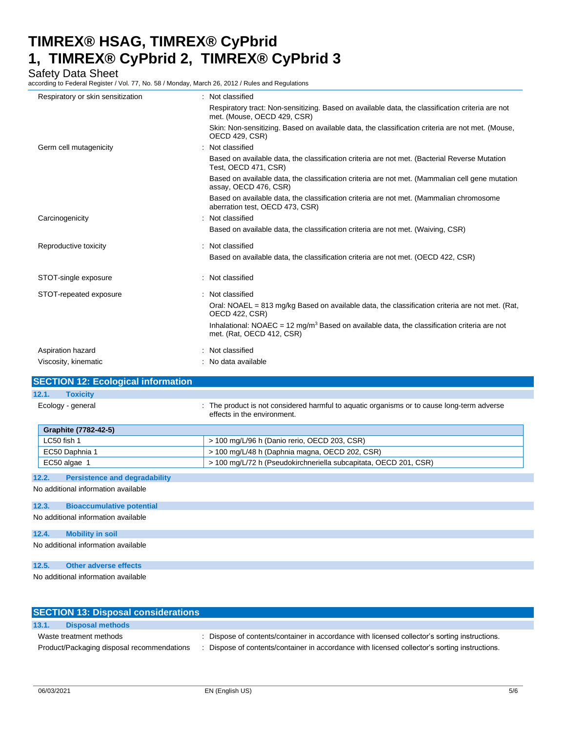Safety Data Sheet

according to Federal Register / Vol. 77, No. 58 / Monday, March 26, 2012 / Rules and Regulations

| Respiratory or skin sensitization | Not classified                                                                                                                       |
|-----------------------------------|--------------------------------------------------------------------------------------------------------------------------------------|
|                                   | Respiratory tract: Non-sensitizing. Based on available data, the classification criteria are not<br>met. (Mouse, OECD 429, CSR)      |
|                                   | Skin: Non-sensitizing. Based on available data, the classification criteria are not met. (Mouse,<br><b>OECD 429, CSR)</b>            |
| Germ cell mutagenicity            | Not classified                                                                                                                       |
|                                   | Based on available data, the classification criteria are not met. (Bacterial Reverse Mutation<br>Test, OECD 471, CSR)                |
|                                   | Based on available data, the classification criteria are not met. (Mammalian cell gene mutation<br>assay, OECD 476, CSR)             |
|                                   | Based on available data, the classification criteria are not met. (Mammalian chromosome<br>aberration test, OECD 473, CSR)           |
| Carcinogenicity                   | : Not classified                                                                                                                     |
|                                   | Based on available data, the classification criteria are not met. (Waiving, CSR)                                                     |
| Reproductive toxicity             | Not classified<br>٠                                                                                                                  |
|                                   | Based on available data, the classification criteria are not met. (OECD 422, CSR)                                                    |
| STOT-single exposure              | : Not classified                                                                                                                     |
| STOT-repeated exposure            | Not classified                                                                                                                       |
|                                   | Oral: NOAEL = 813 mg/kg Based on available data, the classification criteria are not met. (Rat,<br><b>OECD 422, CSR)</b>             |
|                                   | Inhalational: NOAEC = 12 mg/m <sup>3</sup> Based on available data, the classification criteria are not<br>met. (Rat. OECD 412, CSR) |
| Aspiration hazard                 | Not classified                                                                                                                       |
| Viscosity, kinematic              | : No data available                                                                                                                  |
|                                   |                                                                                                                                      |

#### **SECTION 12: Ecological information 12.1. Toxicity**

| Ecology - general           | : The product is not considered harmful to aguatic organisms or to cause long-term adverse<br>effects in the environment. |
|-----------------------------|---------------------------------------------------------------------------------------------------------------------------|
| <b>Graphite (7782-42-5)</b> |                                                                                                                           |
| LC50 fish 1                 | > 100 mg/L/96 h (Danio rerio, OECD 203, CSR)                                                                              |
| EC50 Daphnia 1              | > 100 mg/L/48 h (Daphnia magna, OECD 202, CSR)                                                                            |
| EC50 algae 1                | > 100 mg/L/72 h (Pseudokirchneriella subcapitata, OECD 201, CSR)                                                          |

#### **12.2. Persistence and degradability**

No additional information available

#### **12.3. Bioaccumulative potential**

No additional information available

#### **12.4. Mobility in soil**

No additional information available

#### **12.5. Other adverse effects**

No additional information available

|       | <b>SECTION 13: Disposal considerations</b> |                                                                                               |  |
|-------|--------------------------------------------|-----------------------------------------------------------------------------------------------|--|
| 13.1. | <b>Disposal methods</b>                    |                                                                                               |  |
|       | Waste treatment methods                    | : Dispose of contents/container in accordance with licensed collector's sorting instructions. |  |
|       | Product/Packaging disposal recommendations | Dispose of contents/container in accordance with licensed collector's sorting instructions.   |  |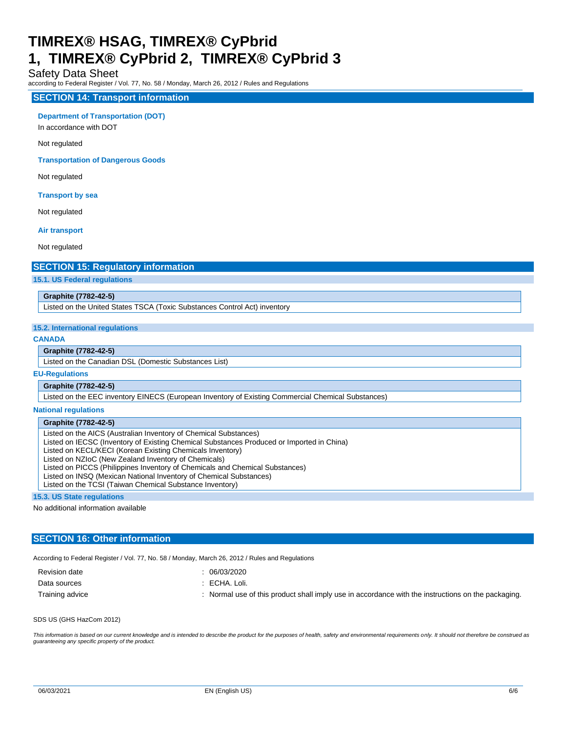#### Safety Data Sheet

according to Federal Register / Vol. 77, No. 58 / Monday, March 26, 2012 / Rules and Regulations

#### **SECTION 14: Transport information**

**Department of Transportation (DOT)** 

In accordance with DOT

Not regulated

**Transportation of Dangerous Goods** 

Not regulated

**Transport by sea** 

Not regulated

**Air transport** 

Not regulated

#### **SECTION 15: Regulatory information**

**15.1. US Federal regulations** 

#### **Graphite (7782-42-5)**

Listed on the United States TSCA (Toxic Substances Control Act) inventory

#### **15.2. International regulations**

#### **CANADA**

#### **Graphite (7782-42-5)**

Listed on the Canadian DSL (Domestic Substances List)

#### **EU-Regulations**

#### **Graphite (7782-42-5)**

Listed on the EEC inventory EINECS (European Inventory of Existing Commercial Chemical Substances)

#### **National regulations**

#### **Graphite (7782-42-5)**

Listed on the AICS (Australian Inventory of Chemical Substances)

Listed on IECSC (Inventory of Existing Chemical Substances Produced or Imported in China)

Listed on KECL/KECI (Korean Existing Chemicals Inventory)

Listed on NZIoC (New Zealand Inventory of Chemicals)

Listed on PICCS (Philippines Inventory of Chemicals and Chemical Substances)

Listed on INSQ (Mexican National Inventory of Chemical Substances)

Listed on the TCSI (Taiwan Chemical Substance Inventory)

#### **15.3. US State regulations**

No additional information available

#### **SECTION 16: Other information**

According to Federal Register / Vol. 77, No. 58 / Monday, March 26, 2012 / Rules and Regulations

Revision date : 06/03/2020

- 
- Data sources : ECHA. Loli.

Training advice **included in the state of this product** shall imply use in accordance with the instructions on the packaging.

SDS US (GHS HazCom 2012)

This information is based on our current knowledge and is intended to describe the product for the purposes of health, safety and environmental requirements only. It should not therefore be construed as guaranteeing any specific property of the product.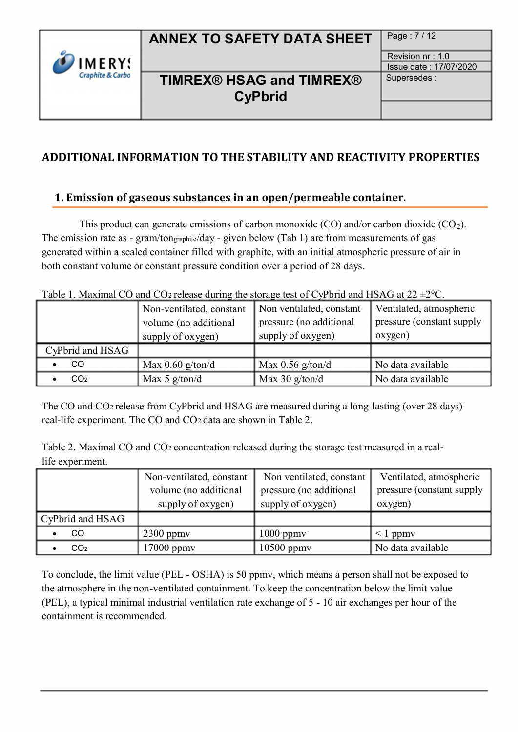# ANNEX TO SAFETY DATA SHEET | Page: 7/12

Supersedes :

Revision nr : 1.0 Issue date : 17/07/2020

## TIMREX® HSAG and TIMREX® CyPbrid

# ADDITIONAL INFORMATION TO THE STABILITY AND REACTIVITY PROPERTIES

## 1. Emission of gaseous substances in an open/permeable container.

This product can generate emissions of carbon monoxide (CO) and/or carbon dioxide (CO<sub>2</sub>). The emission rate as - gram/ton graphite/day - given below (Tab 1) are from measurements of gas generated within a sealed container filled with graphite, with an initial atmospheric pressure of air in both constant volume or constant pressure condition over a period of 28 days.

| Table 1. Maximum CO and COZTelease during the storage test of C $\gamma_1$ ond and HDTO at $\mathbb{Z}_2 \neq \mathbb{C}$ . |                                                                        |                                                                          |                                                                 |  |
|-----------------------------------------------------------------------------------------------------------------------------|------------------------------------------------------------------------|--------------------------------------------------------------------------|-----------------------------------------------------------------|--|
|                                                                                                                             | Non-ventilated, constant<br>volume (no additional<br>supply of oxygen) | Non ventilated, constant<br>pressure (no additional<br>supply of oxygen) | Ventilated, atmospheric<br>pressure (constant supply<br>oxygen) |  |
| CyPbrid and HSAG                                                                                                            |                                                                        |                                                                          |                                                                 |  |
| CO                                                                                                                          | Max $0.60$ g/ton/d                                                     | Max $0.56$ g/ton/d                                                       | No data available                                               |  |
| CO <sub>2</sub>                                                                                                             | Max 5 $g/ton/d$                                                        | Max $30$ g/ton/d                                                         | No data available                                               |  |

Table 1. Maximal CO and CO<sub>2</sub> release during the storage test of CyPbrid and HSAG at  $22 \pm 2^{\circ}C$ .

The CO and CO<sub>2</sub> release from CyPbrid and HSAG are measured during a long-lasting (over 28 days) real-life experiment. The CO and CO<sub>2</sub> data are shown in Table 2.

Table 2. Maximal CO and CO<sub>2</sub> concentration released during the storage test measured in a reallife experiment.

|                  | Non-ventilated, constant  <br>volume (no additional<br>supply of oxygen) | Non ventilated, constant<br>pressure (no additional<br>supply of oxygen) | Ventilated, atmospheric<br>pressure (constant supply)<br>oxygen) |
|------------------|--------------------------------------------------------------------------|--------------------------------------------------------------------------|------------------------------------------------------------------|
| CyPbrid and HSAG |                                                                          |                                                                          |                                                                  |
| CO               | $2300$ ppmv                                                              | $1000$ ppm $v$                                                           | $\sim$ 1 ppmv                                                    |
| CO <sub>2</sub>  | $17000$ ppm $v$                                                          | $10500$ ppmv                                                             | No data available                                                |

To conclude, the limit value (PEL - OSHA) is 50 ppmv, which means a person shall not be exposed to the atmosphere in the non-ventilated containment. To keep the concentration below the limit value (PEL), a typical minimal industrial ventilation rate exchange of 5 - 10 air exchanges per hour of the containment is recommended.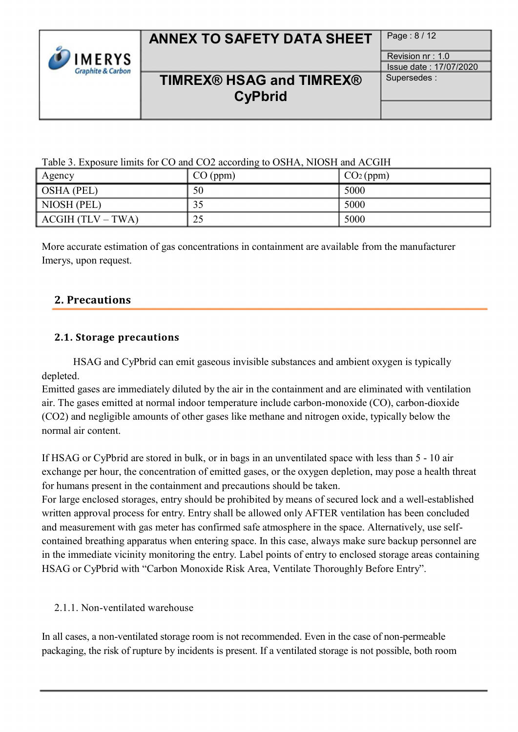| <b>IMERYS</b><br><b>Graphite &amp; Carbon</b> |
|-----------------------------------------------|
|-----------------------------------------------|

# ANNEX TO SAFETY DATA SHEET | Page : 8/12

Revision nr : 1.0

Issue date : 17/07/2020 Supersedes :

## TIMREX® HSAG and TIMREX® **CyPbrid**

Table 3. Exposure limits for CO and CO2 according to OSHA, NIOSH and ACGIH

| Agency             | CO (ppm) | CO <sub>2</sub> (ppm) |
|--------------------|----------|-----------------------|
| $\vert$ OSHA (PEL) | 50       | 5000                  |
| NIOSH (PEL)        | 35       | 5000                  |
| ACGIH (TLV – TWA)  | 25       | 5000                  |

More accurate estimation of gas concentrations in containment are available from the manufacturer Imerys, upon request.

## 2. Precautions

## 2.1. Storage precautions

HSAG and CyPbrid can emit gaseous invisible substances and ambient oxygen is typically depleted.

Emitted gases are immediately diluted by the air in the containment and are eliminated with ventilation air. The gases emitted at normal indoor temperature include carbon-monoxide (CO), carbon-dioxide (CO2) and negligible amounts of other gases like methane and nitrogen oxide, typically below the normal air content.

If HSAG or CyPbrid are stored in bulk, or in bags in an unventilated space with less than 5 - 10 air exchange per hour, the concentration of emitted gases, or the oxygen depletion, may pose a health threat for humans present in the containment and precautions should be taken.

For large enclosed storages, entry should be prohibited by means of secured lock and a well-established written approval process for entry. Entry shall be allowed only AFTER ventilation has been concluded and measurement with gas meter has confirmed safe atmosphere in the space. Alternatively, use selfcontained breathing apparatus when entering space. In this case, always make sure backup personnel are in the immediate vicinity monitoring the entry. Label points of entry to enclosed storage areas containing HSAG or CyPbrid with "Carbon Monoxide Risk Area, Ventilate Thoroughly Before Entry".

### 2.1.1. Non-ventilated warehouse

In all cases, a non-ventilated storage room is not recommended. Even in the case of non-permeable packaging, the risk of rupture by incidents is present. If a ventilated storage is not possible, both room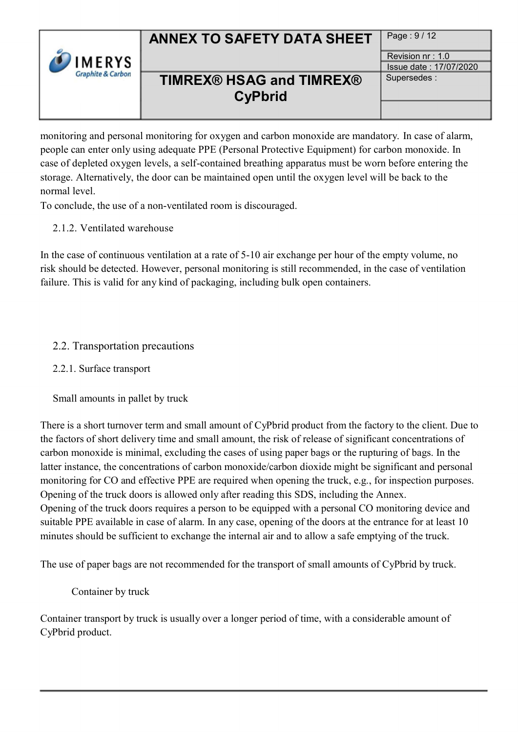

# ANNEX TO SAFETY DATA SHEET | Page : 9/12

Supersedes :

Revision nr : 1.0 Issue date : 17/07/2020

# TIMREX® HSAG and TIMREX® **CyPbrid**

monitoring and personal monitoring for oxygen and carbon monoxide are mandatory. In case of alarm, people can enter only using adequate PPE (Personal Protective Equipment) for carbon monoxide. In case of depleted oxygen levels, a self-contained breathing apparatus must be worn before entering the storage. Alternatively, the door can be maintained open until the oxygen level will be back to the normal level.

To conclude, the use of a non-ventilated room is discouraged.

2.1.2. Ventilated warehouse

In the case of continuous ventilation at a rate of 5-10 air exchange per hour of the empty volume, no risk should be detected. However, personal monitoring is still recommended, in the case of ventilation failure. This is valid for any kind of packaging, including bulk open containers.

## 2.2. Transportation precautions

## 2.2.1. Surface transport

Small amounts in pallet by truck

There is a short turnover term and small amount of CyPbrid product from the factory to the client. Due to the factors of short delivery time and small amount, the risk of release of significant concentrations of carbon monoxide is minimal, excluding the cases of using paper bags or the rupturing of bags. In the latter instance, the concentrations of carbon monoxide/carbon dioxide might be significant and personal monitoring for CO and effective PPE are required when opening the truck, e.g., for inspection purposes. Opening of the truck doors is allowed only after reading this SDS, including the Annex. Opening of the truck doors requires a person to be equipped with a personal CO monitoring device and suitable PPE available in case of alarm. In any case, opening of the doors at the entrance for at least 10 minutes should be sufficient to exchange the internal air and to allow a safe emptying of the truck.

The use of paper bags are not recommended for the transport of small amounts of CyPbrid by truck.

Container by truck

Container transport by truck is usually over a longer period of time, with a considerable amount of CyPbrid product.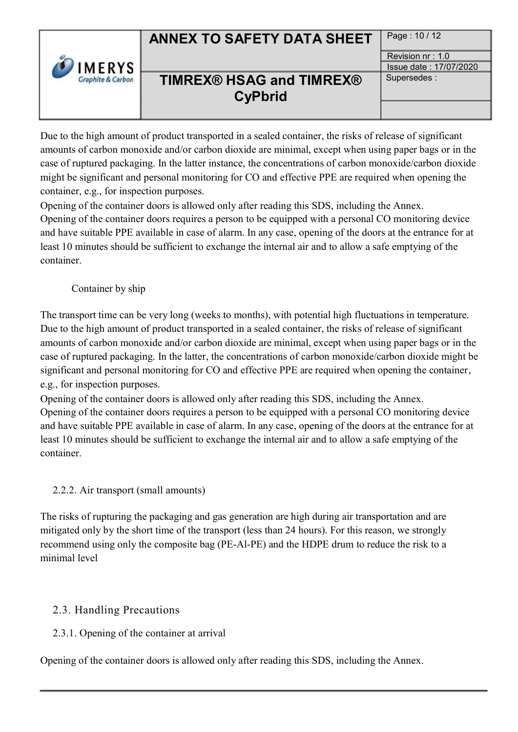

# TIMREX® HSAG and TIMREX® **CyPbrid**

Page: 10 / 12

Revision nr : 1.0 Issue date : 17/07/2020

Supersedes :

Due to the high amount of product transported in a sealed container, the risks of release of significant amounts of carbon monoxide and/or carbon dioxide are minimal, except when using paper bags or in the case of ruptured packaging. In the latter instance, the concentrations of carbon monoxide/carbon dioxide might be significant and personal monitoring for CO and effective PPE are required when opening the container, e.g., for inspection purposes.

Opening of the container doors is allowed only after reading this SDS, including the Annex.

Opening of the container doors requires a person to be equipped with a personal CO monitoring device and have suitable PPE available in case of alarm. In any case, opening of the doors at the entrance for at least 10 minutes should be sufficient to exchange the internal air and to allow a safe emptying of the container.

Container by ship

The transport time can be very long (weeks to months), with potential high fluctuations in temperature. Due to the high amount of product transported in a sealed container, the risks of release of significant amounts of carbon monoxide and/or carbon dioxide are minimal, except when using paper bags or in the case of ruptured packaging. In the latter, the concentrations of carbon monoxide/carbon dioxide might be significant and personal monitoring for CO and effective PPE are required when opening the container, e.g., for inspection purposes.

Opening of the container doors is allowed only after reading this SDS, including the Annex. Opening of the container doors requires a person to be equipped with a personal CO monitoring device and have suitable PPE available in case of alarm. In any case, opening of the doors at the entrance for at least 10 minutes should be sufficient to exchange the internal air and to allow a safe emptying of the container.

## 2.2.2. Air transport (small amounts)

The risks of rupturing the packaging and gas generation are high during air transportation and are mitigated only by the short time of the transport (less than 24 hours). For this reason, we strongly recommend using only the composite bag (PE-Al-PE) and the HDPE drum to reduce the risk to a minimal level

## 2.3. Handling Precautions

## 2.3.1. Opening of the container at arrival

Opening of the container doors is allowed only after reading this SDS, including the Annex.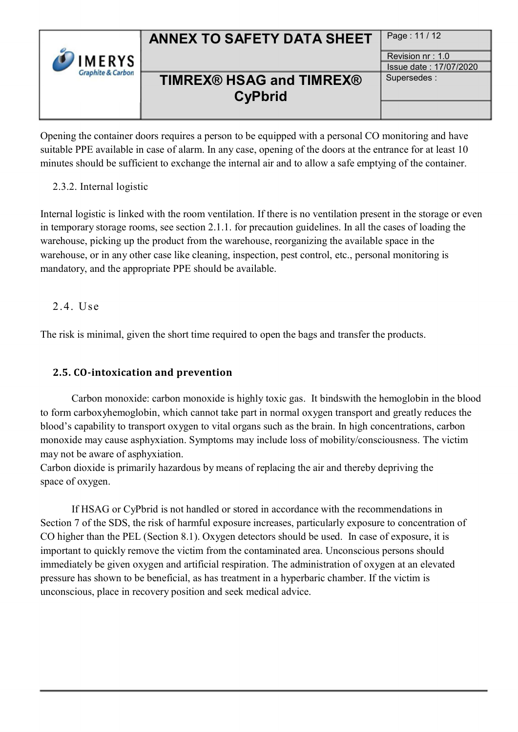|                              | <b>ANNEX TO SAFETY DATA SHEET</b> | Page: 11 / 12          |
|------------------------------|-----------------------------------|------------------------|
| <b>IMERYS</b>                |                                   | Revision $nr: 1.0$     |
| <b>Graphite &amp; Carbon</b> |                                   | Issue date: 17/07/2020 |
|                              | <b>TIMREX® HSAG and TIMREX®</b>   | Supersedes:            |
|                              | <b>CyPbrid</b>                    |                        |
|                              |                                   |                        |

Opening the container doors requires a person to be equipped with a personal CO monitoring and have suitable PPE available in case of alarm. In any case, opening of the doors at the entrance for at least 10 minutes should be sufficient to exchange the internal air and to allow a safe emptying of the container.

### 2.3.2. Internal logistic

Internal logistic is linked with the room ventilation. If there is no ventilation present in the storage or even in temporary storage rooms, see section 2.1.1. for precaution guidelines. In all the cases of loading the warehouse, picking up the product from the warehouse, reorganizing the available space in the warehouse, or in any other case like cleaning, inspection, pest control, etc., personal monitoring is mandatory, and the appropriate PPE should be available.

2.4. Use

The risk is minimal, given the short time required to open the bags and transfer the products.

## ʹ.5. CO-intoxication and prevention

Carbon monoxide: carbon monoxide is highly toxic gas. It bindswith the hemoglobin in the blood to form carboxyhemoglobin, which cannot take part in normal oxygen transport and greatly reduces the blood's capability to transport oxygen to vital organs such as the brain. In high concentrations, carbon monoxide may cause asphyxiation. Symptoms may include loss of mobility/consciousness. The victim may not be aware of asphyxiation.

Carbon dioxide is primarily hazardous by means of replacing the air and thereby depriving the space of oxygen.

If HSAG or CyPbrid is not handled or stored in accordance with the recommendations in Section 7 of the SDS, the risk of harmful exposure increases, particularly exposure to concentration of CO higher than the PEL (Section 8.1). Oxygen detectors should be used. In case of exposure, it is important to quickly remove the victim from the contaminated area. Unconscious persons should immediately be given oxygen and artificial respiration. The administration of oxygen at an elevated pressure has shown to be beneficial, as has treatment in a hyperbaric chamber. If the victim is unconscious, place in recovery position and seek medical advice.